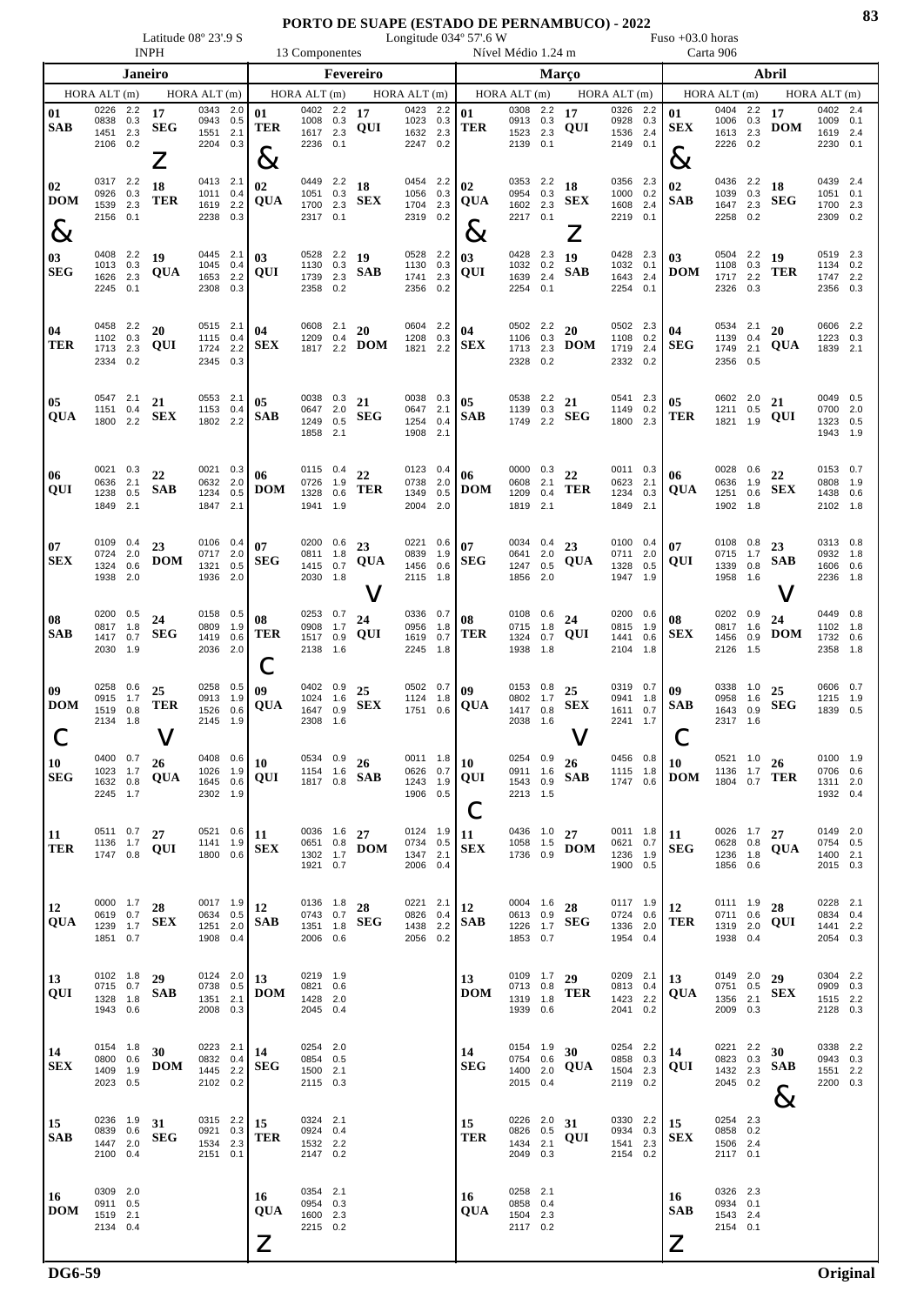Latitude 08° 23'.9 S Congitude 034° 57'.6 W Fuso +03.0 horas INPH 13 Componentes Nível Médio 1.24 m Carta 906

| Janeiro                  |                                              |                          |                       |                                                   |                          |                               |                                                 |            | Fevereiro                       |                                              |                   |                                  |                                                 |                   | Março                                   |                                              |     |                                      |                                                 |                   | Abril                     | HORA ALT (m)<br>0402 2.4<br>1009<br>0.1<br>1619 2.4<br>0.1<br>2230 |                          |  |  |  |  |  |  |
|--------------------------|----------------------------------------------|--------------------------|-----------------------|---------------------------------------------------|--------------------------|-------------------------------|-------------------------------------------------|------------|---------------------------------|----------------------------------------------|-------------------|----------------------------------|-------------------------------------------------|-------------------|-----------------------------------------|----------------------------------------------|-----|--------------------------------------|-------------------------------------------------|-------------------|---------------------------|--------------------------------------------------------------------|--------------------------|--|--|--|--|--|--|
|                          | HORA ALT $(m)$                               |                          |                       | HORA ALT $(m)$                                    |                          |                               | HORAALT(m)                                      |            |                                 | HORA ALT(m)                                  |                   |                                  | HORA ALT(m)                                     |                   |                                         | HORA ALT(m)                                  |     |                                      | HORA ALT(m)                                     |                   |                           |                                                                    |                          |  |  |  |  |  |  |
| 01<br><b>SAB</b>         | 0226<br>0838<br>1451<br>2106                 | 2.2<br>0.3<br>2.3<br>0.2 | 17<br><b>SEG</b>      | 0343 2.0<br>0943<br>1551<br>2204 0.3              | 0.5<br>2.1               | 01<br><b>TER</b>              | 0402 2.2<br>1008<br>1617 2.3<br>2236 0.1        | 0.3        | 17<br>QUI                       | 0423 2.2<br>1023<br>1632<br>2247 0.2         | 0.3<br>2.3        | 01<br><b>TER</b>                 | 0308 2.2<br>0913<br>1523 2.3<br>2139            | 0.3<br>0.1        | 17<br>QUI                               | 0326 2.2<br>0928<br>1536 2.4<br>2149 0.1     | 0.3 | 01<br><b>SEX</b>                     | 0404 2.2<br>1006<br>1613 2.3<br>2226 0.2        | 0.3               | 17<br><b>DOM</b>          |                                                                    |                          |  |  |  |  |  |  |
| 02<br>DOM<br>$8\,$       | 0317 2.2<br>0926<br>1539<br>2156             | 0.3<br>2.3<br>0.1        | $\angle$<br>18<br>TER | 0413<br>1011<br>1619<br>2238                      | 2.1<br>0.4<br>2.2<br>0.3 | $\&$<br>02<br><b>QUA</b>      | 0449 2.2<br>1051 0.3<br>1700 2.3<br>2317 0.1    |            | 18<br><b>SEX</b>                | 0454 2.2<br>1056 0.3<br>1704<br>2319 0.2     | 2.3               | 02<br>QUA<br>$8\!\!\!\!\!\times$ | 0353 2.2<br>0954 0.3<br>1602 2.3<br>2217 0.1    |                   | 18<br><b>SEX</b><br>$\overline{\angle}$ | 0356 2.3<br>1000 0.2<br>1608<br>2219 0.1     | 2.4 | $\&$<br>02<br><b>SAB</b>             | 0436 2.2<br>1039<br>1647<br>2258                | 0.3<br>2.3<br>0.2 | 18<br><b>SEG</b>          | 0439<br>1051<br>1700<br>2309                                       | 2.4<br>0.1<br>2.3<br>0.2 |  |  |  |  |  |  |
| 03<br><b>SEG</b>         | 0408 2.2<br>1013 0.3<br>1626<br>2245 0.1     | 2.3                      | 19<br>QUA             | 0445 2.1<br>1045<br>1653<br>2308                  | 0.4<br>2.2<br>0.3        | 03<br>QUI                     | 0528 2.2 19<br>1130 0.3<br>1739<br>2358 0.2     | 2.3        | <b>SAB</b>                      | 0528 2.2<br>1130<br>1741<br>2356 0.2         | 0.3<br>2.3        | 03<br>QUI                        | 0428 2.3<br>1032<br>1639<br>2254 0.1            | 0.2<br>2.4        | 19<br><b>SAB</b>                        | 0428 2.3<br>1032 0.1<br>1643 2.4<br>2254 0.1 |     | 03<br><b>DOM</b>                     | 0504 2.2<br>1108<br>1717<br>2326 0.3            | 0.3<br>2.2        | - 19<br>TER               | 0519 2.3<br>1134 0.2<br>1747 2.2<br>2356                           | 0.3                      |  |  |  |  |  |  |
| 04<br><b>TER</b>         | 0458<br>1102<br>1713<br>2334 0.2             | 2.2<br>0.3<br>2.3        | 20<br>QUI             | 0515<br>1115<br>1724<br>2345 0.3                  | 2.1<br>0.4<br>2.2        | 04<br><b>SEX</b>              | 0608 2.1<br>1209 0.4<br>1817 2.2                |            | 20<br><b>DOM</b>                | 0604<br>1208 0.3<br>1821                     | 2.2<br>2.2        | 04<br><b>SEX</b>                 | 0502 2.2<br>1106<br>1713<br>2328 0.2            | 0.3<br>2.3        | 20<br><b>DOM</b>                        | 0502 2.3<br>1108 0.2<br>1719<br>2332 0.2     | 2.4 | 04<br><b>SEG</b>                     | 0534 2.1<br>1139<br>1749<br>2356 0.5            | 0.4<br>2.1        | 20<br>QUA                 | 0606<br>1223 0.3<br>1839                                           | 2.2<br>2.1               |  |  |  |  |  |  |
| 05<br>QUA                | 0547 2.1<br>1151<br>1800 2.2                 | 0.4                      | 21<br><b>SEX</b>      | 0553 2.1<br>1153<br>1802 2.2                      | 0.4                      | 05<br><b>SAB</b>              | 0038 0.3<br>0647 2.0<br>1249<br>1858            | 0.5<br>2.1 | 21<br><b>SEG</b>                | 0038 0.3<br>0647 2.1<br>1254<br>1908         | 0.4<br>2.1        | 05<br><b>SAB</b>                 | 0538 2.2<br>1139 0.3<br>1749 2.2                |                   | 21<br><b>SEG</b>                        | 0541 2.3<br>1149<br>1800 2.3                 | 0.2 | 05<br><b>TER</b>                     | 0602 2.0<br>1211 0.5<br>1821 1.9                |                   | 21<br>QUI                 | 0049 0.5<br>0700<br>1323 0.5<br>1943 1.9                           | 2.0                      |  |  |  |  |  |  |
| 06<br>QUI                | 0021<br>0636<br>1238<br>1849                 | 0.3<br>2.1<br>0.5<br>2.1 | 22<br><b>SAB</b>      | 0021<br>0632<br>1234<br>1847 2.1                  | 0.3<br>2.0<br>0.5        | 06<br><b>DOM</b>              | 0115 0.4<br>0726<br>1328<br>1941 1.9            | 1.9<br>0.6 | 22<br><b>TER</b>                | 0123 0.4<br>0738<br>1349<br>2004             | 2.0<br>0.5<br>2.0 | 06<br><b>DOM</b>                 | 0000 0.3<br>0608<br>1209<br>1819 2.1            | 2.1<br>0.4        | $\bf{22}$<br><b>TER</b>                 | 0011 0.3<br>0623 2.1<br>1234<br>1849 2.1     | 0.3 | 06<br>QUA                            | 0028<br>0636 1.9<br>1251<br>1902 1.8            | 0.6<br>0.6        | 22<br><b>SEX</b>          | 0153<br>0808<br>1438<br>2102 1.8                                   | 0.7<br>1.9<br>0.6        |  |  |  |  |  |  |
| 07<br>SEX                | 0109 0.4<br>0724<br>1324<br>1938 2.0         | 2.0<br>0.6               | 23<br><b>DOM</b>      | 0106 0.4<br>0717<br>1321<br>1936 2.0              | 2.0<br>0.5               | 07<br><b>SEG</b>              | 0200 0.6<br>0811 1.8<br>1415<br>2030 1.8        | 0.7        | 23<br>QUA                       | 0221 0.6<br>0839 1.9<br>1456 0.6<br>2115 1.8 |                   | 07<br><b>SEG</b>                 | 0034 0.4<br>0641<br>1247 0.5<br>1856            | 2.0<br>2.0        | 23<br>QUA                               | 0100 0.4<br>0711 2.0<br>1328 0.5<br>1947 1.9 |     | 07<br>QUI                            | 0108 0.8<br>0715 1.7<br>1339 0.8<br>1958        | 1.6               | 23<br>SAB<br>V            | 0313 0.8<br>0932 1.8<br>1606 0.6<br>2236                           | 1.8                      |  |  |  |  |  |  |
| 08<br>SAB                | 0200<br>0817<br>1417<br>2030 1.9             | 0.5<br>1.8<br>0.7        | 24<br><b>SEG</b>      | 0158<br>0809<br>1419<br>2036 2.0                  | 0.5<br>1.9<br>0.6        | 08<br><b>TER</b><br>Ċ         | 0253 0.7<br>0908<br>1517<br>2138 1.6            | 1.7<br>0.9 | 24<br>QUI                       | 0336 0.7<br>0956<br>1619<br>2245 1.8         | 1.8<br>0.7        | 08<br>TER                        | 0108<br>0715<br>1324<br>1938 1.8                | 0.6<br>1.8<br>0.7 | 24<br>QUI                               | 0200 0.6<br>0815 1.9<br>1441<br>2104 1.8     | 0.6 | 08<br><b>SEX</b>                     | 0202<br>0817 1.6<br>1456<br>2126 1.5            | 0.9<br>0.9        | 24<br><b>DOM</b>          | 0449 0.8<br>1102 1.8<br>1732<br>2358 1.8                           | 0.6                      |  |  |  |  |  |  |
| 09<br><b>DOM</b>         | 0258<br>0915<br>1519<br>2134 1.8             | 0.6<br>1.7<br>0.8        | 25<br><b>TER</b>      | 0258 0.5<br>0913<br>1526<br>2145 1.9              | 1.9<br>0.6               | 09<br>QUA                     | 0402 0.9<br>1024 1.6<br>1647<br>2308            | 0.9<br>1.6 | 25<br><b>SEX</b>                | 0502 0.7<br>1124<br>1751 0.6                 | 1.8               | 09<br>QUA                        | 0153 0.8<br>0802<br>1417 0.8<br>2038 1.6        | 1.7               | 25<br><b>SEX</b><br>V                   | 0319 0.7<br>0941 1.8<br>1611 0.7<br>2241 1.7 |     | 09<br><b>SAB</b><br>し                | 0338 1.0<br>0958<br>1643 0.9<br>2317 1.6        | 1.6               | 25<br><b>SEG</b>          | 0606 0.7<br>1215<br>1839 0.5                                       | 1.9                      |  |  |  |  |  |  |
| $\vert$ 10<br><b>SEG</b> | 1023 1.7<br>1632 0.8<br>2245 1.7             |                          | QUA                   | 0408 $0.6$ 10<br>1026 1.9<br>1645 0.6<br>2302 1.9 |                          | QUI                           | 1154 1.6                                        |            | $0534$ 0.9 26<br>$1817$ 0.8 SAB | 0626 0.7<br>1243 1.9<br>1906 0.5             |                   | 0011 1.8 $10$<br>QUI             | $0254$ 0.9 26<br>0911 1.6<br>2213 1.5           |                   | 1543 $0.9$ <b>SAB</b>                   | 0456 0.8<br>1115 1.8<br>1747 0.6             |     | 10<br><b>DOM</b>                     | 0521 1.0 26<br>1136 1.7                         |                   | $1804$ $0.7$ TER          | 0100 1.9<br>0706 0.6<br>1311 2.0<br>1932 0.4                       |                          |  |  |  |  |  |  |
| 11<br>TER                | 0511 0.7<br>1136 1.7<br>1747 0.8             |                          | 27<br>QUI             | 0521 0.6<br>1141 1.9<br>1800 0.6                  |                          | 11<br><b>SEX</b>              | 0036 1.6 27<br>0651 0.8<br>1302 1.7<br>1921 0.7 |            | <b>DOM</b>                      | 0124 1.9<br>0734 0.5<br>1347 2.1<br>2006 0.4 |                   | 11<br><b>SEX</b>                 | 0436 1.0 27<br>1058 1.5<br>1736 0.9             |                   | <b>DOM</b>                              | 0011 1.8<br>0621 0.7<br>1236 1.9<br>1900 0.5 |     | 11<br><b>SEG</b>                     | 0026 1.7 27<br>0628 0.8<br>1236 1.8<br>1856 0.6 |                   | QUA                       | 0149 2.0<br>0754 0.5<br>1400 2.1<br>2015 0.3                       |                          |  |  |  |  |  |  |
| 12<br>QUA                | 0000 1.7<br>0619 0.7<br>1239 1.7<br>1851 0.7 |                          | 28<br><b>SEX</b>      | 0017 1.9<br>0634 0.5<br>1251 2.0<br>1908 0.4      |                          | 12<br><b>SAB</b>              | 0136 1.8<br>0743 0.7<br>1351 1.8<br>2006 0.6    |            | 28<br>SEG                       | 0221 2.1<br>0826 0.4<br>1438 2.2<br>2056 0.2 |                   | 12<br><b>SAB</b>                 | 0004 1.6 28<br>0613 0.9<br>1853 0.7             |                   | 1226 1.7 <b>SEG</b>                     | 0117 1.9<br>0724 0.6<br>1336 2.0<br>1954 0.4 |     | 12<br>TER                            | 0111 1.9<br>0711 0.6<br>1319 2.0<br>1938 0.4    |                   | 28<br>QUI                 | 0228 2.1<br>0834 0.4<br>1441 2.2<br>2054 0.3                       |                          |  |  |  |  |  |  |
| 13<br>QUI                | 0102 1.8<br>0715 0.7<br>1328 1.8<br>1943 0.6 |                          | 29<br><b>SAB</b>      | 0124 2.0<br>0738 0.5<br>1351 2.1<br>2008 0.3      |                          | 13<br><b>DOM</b>              | 0219 1.9<br>0821 0.6<br>1428 2.0<br>2045 0.4    |            |                                 |                                              |                   | 13<br><b>DOM</b>                 | 0109 1.7 29<br>0713 0.8<br>1319 1.8<br>1939 0.6 |                   | <b>TER</b>                              | 0209 2.1<br>0813 0.4<br>1423 2.2<br>2041 0.2 |     | 13<br>QUA                            | 0149 2.0<br>0751 0.5<br>1356 2.1<br>2009 0.3    |                   | 29<br><b>SEX</b>          | 0304 2.2<br>0909 0.3<br>1515 2.2<br>2128 0.3                       |                          |  |  |  |  |  |  |
| 14<br><b>SEX</b>         | 0154 1.8<br>0800 0.6<br>1409 1.9<br>2023 0.5 |                          | 30<br><b>DOM</b>      | 0223 2.1<br>0832 0.4<br>1445 2.2<br>2102 0.2      |                          | 14<br><b>SEG</b>              | 0254 2.0<br>0854 0.5<br>1500 2.1<br>2115 0.3    |            |                                 |                                              |                   | 14<br><b>SEG</b>                 | 0154 1.9<br>0754 0.6<br>1400 2.0<br>2015 0.4    |                   | 30<br>QUA                               | 0254 2.2<br>0858 0.3<br>1504 2.3<br>2119 0.2 |     | 14<br>QUI                            | 0221 2.2<br>0823 0.3<br>1432 2.3<br>2045 0.2    |                   | 30<br><b>SAB</b><br>$8\,$ | 0338 2.2<br>0943 0.3<br>1551 2.2<br>2200 0.3                       |                          |  |  |  |  |  |  |
| 15<br><b>SAB</b>         | 0236 1.9<br>0839 0.6<br>1447 2.0<br>2100 0.4 |                          | 31<br><b>SEG</b>      | 0315 2.2<br>0921 0.3<br>1534 2.3<br>2151 0.1      |                          | 15<br><b>TER</b>              | 0324 2.1<br>0924 0.4<br>1532 2.2<br>2147 0.2    |            |                                 |                                              |                   | 15<br>TER                        | 0226 2.0 31<br>0826 0.5<br>1434 2.1<br>2049 0.3 |                   | QUI                                     | 0330 2.2<br>0934 0.3<br>1541 2.3<br>2154 0.2 |     | 15<br><b>SEX</b>                     | 0254 2.3<br>0858 0.2<br>1506 2.4<br>2117 0.1    |                   |                           |                                                                    |                          |  |  |  |  |  |  |
| 16<br><b>DOM</b>         | 0309 2.0<br>0911 0.5<br>1519 2.1<br>2134 0.4 |                          |                       |                                                   |                          | 16<br>QUA<br>$\boldsymbol{Z}$ | 0354 2.1<br>0954 0.3<br>1600 2.3<br>2215 0.2    |            |                                 |                                              |                   | 16<br>QUA                        | 0258 2.1<br>0858 0.4<br>1504 2.3<br>2117 0.2    |                   |                                         |                                              |     | 16<br><b>SAB</b><br>$\boldsymbol{Z}$ | 0326 2.3<br>0934 0.1<br>1543 2.4<br>2154 0.1    |                   |                           |                                                                    |                          |  |  |  |  |  |  |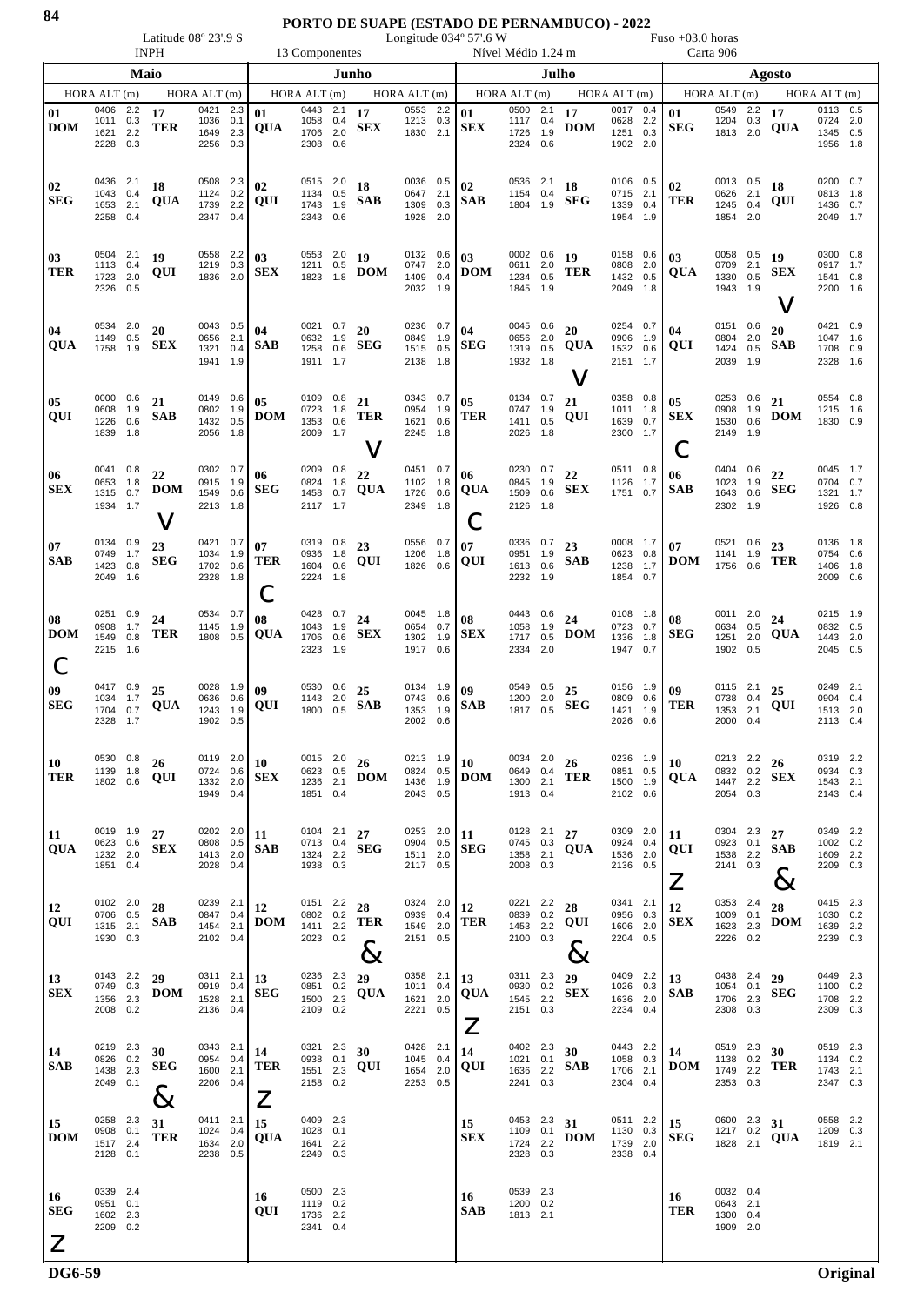## **PORTO DE SUAPE (ESTADO DE PERNAMBUCO) - 2022**

Latitude 08° 23'.9 S Congitude 034° 57'.6 W Fuso +03.0 horas INPH 13 Componentes Nível Médio 1.24 m Carta 906

|                                               | Maio                                         |  |                                   |                                              | Junho             |                                      |                                                     |     |                             | Julho                                             |     |                              |                                                 |            |                   |                                              | Agosto            |                                                    |                                                   |     |                                 |                                              |          |
|-----------------------------------------------|----------------------------------------------|--|-----------------------------------|----------------------------------------------|-------------------|--------------------------------------|-----------------------------------------------------|-----|-----------------------------|---------------------------------------------------|-----|------------------------------|-------------------------------------------------|------------|-------------------|----------------------------------------------|-------------------|----------------------------------------------------|---------------------------------------------------|-----|---------------------------------|----------------------------------------------|----------|
|                                               | HORA ALT(m)                                  |  |                                   | HORA ALT(m)                                  |                   |                                      | HORA ALT(m)                                         |     |                             | HORA ALT(m)                                       |     | HORA ALT (m)                 |                                                 |            |                   | HORA ALT $(m)$                               |                   | HORA ALT (m)                                       |                                                   |     | HORA ALT (m)                    |                                              |          |
| 01<br><b>DOM</b>                              | 0406 2.2<br>1011 0.3<br>1621 2.2<br>2228 0.3 |  | 17<br><b>TER</b>                  | 0421<br>1036 0.1<br>1649 2.3<br>2256         | 2.3<br>0.3        | 01<br><b>QUA</b>                     | $0443$ 2.1 17<br>1058 0.4<br>1706 2.0<br>2308 0.6   |     | <b>SEX</b>                  | 0553 2.2<br>1213 0.3<br>1830 2.1                  |     | 01<br><b>SEX</b>             | 0500 2.1<br>1117 0.4<br>1726 1.9<br>2324 0.6    |            | 17<br><b>DOM</b>  | 0017 0.4<br>0628 2.2<br>1251 0.3<br>1902 2.0 |                   | 01<br><b>SEG</b>                                   | $\overline{0549}$ 2.2 17<br>1204 0.3<br>1813 2.0  |     | <b>QUA</b>                      | 0113 0.5<br>0724 2.0<br>1345 0.5<br>1956 1.8 |          |
| 02<br><b>SEG</b>                              | 0436 2.1<br>1043 0.4<br>1653 2.1<br>2258 0.4 |  | 18<br>QUA                         | 0508 2.3<br>1124 0.2<br>1739<br>2347 0.4     | 2.2               | 02<br>QUI                            | 0515 2.0<br>1134 0.5<br>1743 1.9<br>2343 0.6        |     | 18<br><b>SAB</b>            | 0036 0.5<br>0647 2.1<br>1309 0.3<br>1928 2.0      |     | 02<br><b>SAB</b>             | 0536 2.1<br>1154 0.4<br>1804 1.9                |            | 18<br><b>SEG</b>  | 0106<br>0715 2.1<br>1339<br>1954 1.9         | 0.5<br>0.4        | 02<br><b>TER</b>                                   | 0013 0.5<br>0626 2.1<br>1245 0.4<br>1854 2.0      |     | 18<br>QUI                       | 0200 0.7<br>0813 1.8<br>1436 0.7<br>2049 1.7 |          |
| 03<br>TER                                     | 0504 2.1<br>1113 0.4<br>1723 2.0<br>2326 0.5 |  | 19<br>QUI                         | 0558 2.2<br>1219 0.3<br>1836 2.0             |                   | 0 <sub>3</sub><br><b>SEX</b>         | 0553 2.0 19<br>1211 0.5                             |     | 1823 1.8 <b>DOM</b>         | 0132 0.6 03<br>$0747$ 2.0<br>1409 0.4<br>2032 1.9 |     | <b>DOM</b>                   | 0002 0.6 19<br>0611 2.0<br>1234 0.5<br>1845 1.9 |            | <b>TER</b>        | 0158 0.6<br>0808 2.0<br>1432 0.5<br>2049 1.8 |                   | 03<br><b>QUA</b>                                   | 0058 0.5 19<br>0709 2.1<br>1330 0.5<br>1943 1.9   |     | <b>SEX</b><br>$\bm{\mathsf{V}}$ | 0300 0.8<br>0917 1.7<br>1541 0.8<br>2200 1.6 |          |
| 04<br><b>QUA</b>                              | 0534 2.0<br>1149 0.5<br>1758 1.9             |  | 20<br><b>SEX</b>                  | 0043 0.5<br>0656<br>1321<br>1941             | 2.1<br>0.4<br>1.9 | 04<br><b>SAB</b>                     | 0021 0.7 20<br>0632 1.9<br>1911 1.7                 |     | 1258 $0.6$ SEG              | $0236$ 0.7<br>0849 1.9<br>1515 0.5<br>2138 1.8    |     | 04<br><b>SEG</b>             | 0045 0.6<br>0656 2.0<br>1319 0.5<br>1932 1.8    |            | 20<br><b>QUA</b>  | 0254 0.7<br>0906<br>1532<br>2151 1.7         | 1.9<br>0.6        | 04<br>QUI                                          | 0151 0.6<br>0804 2.0<br>2039 1.9                  |     | 20<br>1424 $0.5$ <b>SAB</b>     | 0421 0.9<br>1047 1.6<br>1708 0.9<br>2328 1.6 |          |
| 05<br><b>QUI</b>                              | 0000 0.6<br>0608 1.9<br>1226 0.6<br>1839 1.8 |  | 21<br><b>SAB</b>                  | 0149 0.6<br>0802 1.9<br>1432 0.5<br>2056 1.8 |                   | 0 <sub>5</sub><br><b>DOM</b>         | $0109$ 0.8 21<br>0723 1.8<br>1353 0.6<br>2009 1.7   |     | <b>TER</b><br>$\bm{\nabla}$ | 0343 0.7<br>0954 1.9<br>1621 0.6<br>2245 1.8      |     | 0 <sub>5</sub><br><b>TER</b> | 0134 0.7<br>0747 1.9<br>1411 0.5<br>2026 1.8    |            | 21<br>QUI         | 0358 0.8<br>1011 1.8<br>1639 0.7<br>2300     | 1.7               | 0 <sub>5</sub><br><b>SEX</b><br>Ċ                  | 0253 0.6<br>0908 1.9<br>1530 0.6<br>2149 1.9      |     | 21<br><b>DOM</b>                | 0554 0.8<br>1215 1.6<br>1830 0.9             |          |
| 06<br><b>SEX</b>                              | 0041 0.8<br>0653 1.8<br>1315 0.7<br>1934 1.7 |  | 22<br><b>DOM</b><br>$\bm{\nabla}$ | 0302 0.7<br>0915<br>1549<br>2213             | 1.9<br>0.6<br>1.8 | 06<br><b>SEG</b>                     | 0209 0.8<br>0824 1.8<br>1458 0.7<br>2117 1.7        |     | 22<br>QUA                   | 0451 0.7<br>1102 1.8<br>1726 0.6<br>2349 1.8      |     | 06<br><b>QUA</b>             | 0230 0.7 22<br>0845 1.9<br>1509 0.6<br>2126 1.8 |            | <b>SEX</b>        | $0511$ 0.8<br>1126 1.7<br>1751 0.7           |                   | 06<br><b>SAB</b>                                   | 0404 0.6 22<br>1023 1.9<br>1643 0.6<br>2302 1.9   |     | <b>SEG</b>                      | 0045 1.7<br>0704 0.7<br>1321 1.7<br>1926 0.8 |          |
| 07<br><b>SAB</b>                              | 0134 0.9<br>0749 1.7<br>1423 0.8<br>2049 1.6 |  | 23<br><b>SEG</b>                  | 0421 0.7<br>1034 1.9<br>1702 0.6<br>2328 1.8 |                   | 07<br><b>TER</b><br>С                | $0319$ $0.8$ 23<br>0936 1.8<br>1604 0.6<br>2224 1.8 |     | QUI                         | 0556 0.7<br>1206 1.8<br>1826 0.6                  |     | 07<br>QUI                    | 0336 0.7 23<br>0951 1.9<br>1613 0.6<br>2232 1.9 |            | <b>SAB</b>        | 0623 0.8<br>1238<br>1854 0.7                 | 1.7               | 0008 $1.7 \bigcup 07$<br>$\bf{DOM}_{\rm 1756-0.6}$ | $0521$ $0.6$ 23<br>1141 1.9                       |     | <b>TER</b>                      | 0136 1.8<br>0754 0.6<br>1406 1.8<br>2009 0.6 |          |
| 08<br><b>DOM</b><br>C                         | 0251 0.9<br>0908 1.7<br>1549 0.8<br>2215 1.6 |  | 24<br>TER                         | 0534 0.7<br>1145<br>1808                     | 1.9<br>0.5        | 08<br><b>QUA</b>                     | 0428 0.7 24<br>1043 1.9<br>1706 0.6<br>2323 1.9     |     | SEX                         | 0045 1.8<br>0654 0.7<br>1302 1.9<br>1917 0.6      |     | 08<br><b>SEX</b>             | 0443 0.6 24<br>1058<br>1717<br>2334 2.0         | 1.9<br>0.5 | <b>DOM</b>        | 0108 1.8<br>0723 0.7<br>1336<br>1947 0.7     | 1.8               | 08<br><b>SEG</b>                                   | 0011 2.0 $24$<br>0634 0.5<br>1251 2.0<br>1902 0.5 |     | QUA                             | 0215 1.9<br>0832 0.5<br>1443 2.0<br>2045 0.5 |          |
| 09<br><b>SEG</b>                              | 0417 0.9<br>1034 1.7<br>1704 0.7<br>2328 1.7 |  | 25<br>QUA                         | 0028 1.9<br>0636<br>1243<br>1902 0.5         | 0.6<br>1.9        | 09<br>QUI                            | 0530 0.6<br>1143 2.0                                |     | 25<br>1800 $0.5$ <b>SAB</b> | $0134$ 1.9<br>0743 0.6<br>1353 1.9<br>2002 0.6    |     | 09<br><b>SAB</b>             | 0549 0.5<br>1200 2.0<br>1817 0.5                |            | 25<br>${\bf SEG}$ | 0156 1.9<br>0809<br>1421 1.9<br>2026         | 0.6<br>0.6        | 09<br><b>TER</b>                                   | 0115 2.1<br>0738 0.4<br>1353 2.1<br>2000 0.4      |     | 25<br>QUI                       | 0249 2.1<br>0904 0.4<br>1513 2.0<br>2113 0.4 |          |
| 10<br><b>TER</b>                              | 0530 0.8<br>1139 1.8<br>1802 0.6             |  | 26<br>QUI                         | 0119<br>0724 0.6<br>1332 2.0<br>1949 0.4     | 2.0               | 10<br><b>SEX</b>                     | 0015 2.0<br>0623 0.5<br>1236<br>1851 0.4            | 2.1 | 26<br><b>DOM</b>            | 0213<br>0824 0.5<br>1436 1.9<br>2043 0.5          | 1.9 | 10<br><b>DOM</b>             | 0034 2.0<br>0649 0.4<br>1300 2.1<br>1913 0.4    |            | 26<br><b>TER</b>  | 0236<br>0851 0.5<br>1500<br>2102 0.6         | 1.9<br>1.9        | 10<br><b>QUA</b>                                   | 0213<br>0832 0.2<br>1447 2.2<br>2054 0.3          | 2.2 | 26<br><b>SEX</b>                | 0319 2.2<br>0934 0.3<br>1543 2.1<br>2143 0.4 |          |
| 11<br><b>QUA</b>                              | 0019 1.9<br>0623 0.6<br>1232 2.0<br>1851 0.4 |  | 27<br><b>SEX</b>                  | 0202 2.0<br>0808<br>1413<br>2028             | 0.5<br>2.0<br>0.4 | 11<br><b>SAB</b>                     | 0104 2.1 $27$<br>0713 0.4<br>1324 2.2<br>1938 0.3   |     | <b>SEG</b>                  | 0253 2.0<br>0904 0.5<br>1511 2.0<br>2117 0.5      |     | 11<br><b>SEG</b>             | 0128 2.1<br>0745 0.3<br>1358<br>2008 0.3        | 2.1        | 27<br>QUA         | 0309 2.0<br>0924<br>1536<br>2136             | 0.4<br>2.0<br>0.5 | 11<br>QUI<br>$\boldsymbol{Z}$                      | 0304 2.3<br>0923 0.1<br>1538 2.2<br>2141 0.3      |     | 27<br>SAB<br>$8\,$              | 0349 2.2<br>1002 0.2<br>1609 2.2<br>2209 0.3 |          |
| <b>12</b><br><b>QUI</b>                       | 0102 2.0<br>0706 0.5<br>1315 2.1<br>1930 0.3 |  | 28<br><b>SAB</b>                  | 0239<br>0847<br>1454<br>2102 0.4             | 2.1<br>0.4<br>2.1 | 12<br><b>DOM</b>                     | 0151 2.2<br>0802 0.2<br>1411 2.2<br>2023 0.2        |     | 28<br>TER<br>$8\,$          | 0324 2.0<br>0939<br>1549 2.0<br>2151 0.5          | 0.4 | 12<br>TER                    | 0221 2.2<br>0839 0.2<br>1453 2.2<br>2100 0.3    |            | 28<br>QUI<br>ර්   | 0341<br>0956<br>1606<br>2204 0.5             | 2.1<br>0.3<br>2.0 | 12<br><b>SEX</b>                                   | 0353 2.4<br>1009 0.1<br>1623 2.3<br>2226 0.2      |     | 28<br><b>DOM</b>                | 0415 2.3<br>1030 0.2<br>1639 2.2<br>2239 0.3 |          |
| 13<br><b>SEX</b>                              | 0143 2.2<br>0749 0.3<br>1356 2.3<br>2008 0.2 |  | 29<br><b>DOM</b>                  | 0311 2.1<br>0919<br>1528<br>2136 0.4         | 0.4<br>2.1        | 13<br><b>SEG</b>                     | 0236 2.3<br>0851 0.2<br>1500 2.3<br>2109 0.2        |     | 29<br><b>QUA</b>            | 0358 2.1<br>1011 0.4<br>1621 2.0<br>2221 0.5      |     | 13<br>QUA<br>$\angle$        | 0311 2.3<br>0930 0.2<br>1545 2.2<br>2151 0.3    |            | 29<br><b>SEX</b>  | 0409<br>1026<br>1636<br>2234 0.4             | 2.2<br>0.3<br>2.0 | 13<br><b>SAB</b>                                   | 0438 2.4<br>1054 0.1<br>1706 2.3<br>2308 0.3      |     | 29<br><b>SEG</b>                | 0449 2.3<br>1100 0.2<br>1708 2.2<br>2309 0.3 |          |
| 14<br><b>SAB</b>                              | 0219 2.3<br>0826 0.2<br>1438 2.3<br>2049 0.1 |  | 30<br>SEG<br>$8\,$                | 0343 2.1<br>0954 0.4<br>1600<br>2206 0.4     | 2.1               | 14<br><b>TER</b><br>$\boldsymbol{Z}$ | 0321<br>0938 0.1<br>1551 2.3<br>2158 0.2            | 2.3 | 30<br>QUI                   | 0428 2.1<br>1045 0.4<br>1654 2.0<br>2253 0.5      |     | 14<br>QUI                    | 0402 2.3<br>1021 0.1<br>1636 2.2<br>2241 0.3    |            | 30<br><b>SAB</b>  | 0443<br>1058<br>1706<br>2304 0.4             | 2.2<br>0.3<br>2.1 | 14<br><b>DOM</b>                                   | 0519 2.3<br>1138 0.2<br>1749 2.2<br>2353 0.3      |     | 30<br>TER                       | 0519 2.3<br>1134 0.2<br>1743 2.1<br>2347 0.3 |          |
| <b>15</b><br><b>DOM</b>                       | 0258 2.3<br>0908 0.1<br>1517 2.4<br>2128 0.1 |  | 31<br><b>TER</b>                  | 0411 2.1<br>1024 0.4<br>1634<br>2238         | 2.0<br>0.5        | 15<br>QUA                            | 0409 2.3<br>1028<br>1641 2.2<br>2249 0.3            | 0.1 |                             |                                                   |     | 15<br><b>SEX</b>             | 0453 2.3<br>1109 0.1<br>1724 2.2<br>2328 0.3    |            | 31<br><b>DOM</b>  | 0511 2.2<br>1130<br>1739<br>2338             | 0.3<br>2.0<br>0.4 | 15<br><b>SEG</b>                                   | 0600 2.3<br>1217 0.2<br>1828 2.1                  |     | 31<br>QUA                       | 0558 2.2<br>1209 0.3<br>1819 2.1             |          |
| <b>16</b><br><b>SEG</b><br>$\mathsf{Z}% _{0}$ | 0339 2.4<br>0951 0.1<br>1602 2.3<br>2209 0.2 |  |                                   |                                              |                   | 16<br>QUI                            | 0500 2.3<br>1119 0.2<br>1736 2.2<br>2341 0.4        |     |                             |                                                   |     | 16<br><b>SAB</b>             | 0539 2.3<br>1200 0.2<br>1813 2.1                |            |                   |                                              |                   | 16<br><b>TER</b>                                   | 0032 0.4<br>0643 2.1<br>1300 0.4<br>1909 2.0      |     |                                 |                                              |          |
| <b>DG6-59</b>                                 |                                              |  |                                   |                                              |                   |                                      |                                                     |     |                             |                                                   |     |                              |                                                 |            |                   |                                              |                   |                                                    |                                                   |     |                                 |                                              | Original |